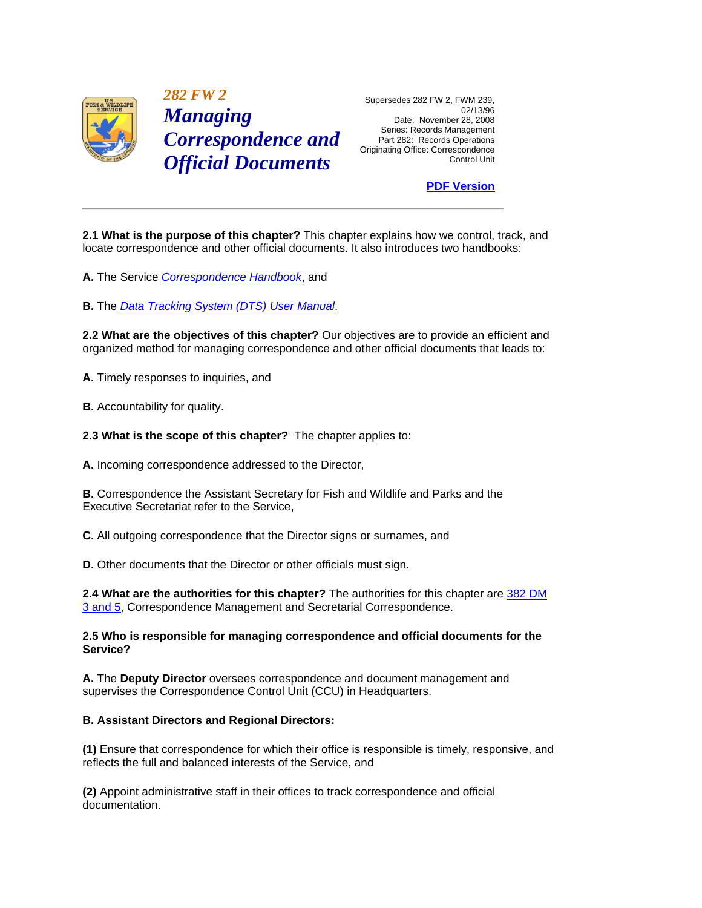

 *282 FW 2* Supersedes 282 FW 2, FWM 239, **Managing**<br>
Date: November 28, 2008<br>
Series: Records Management **Correspondence and** Part 282: Records Operations *Official Documents* Control Unit

Originating Office: Correspondence

# **[PDF Version](http://policy.fws.gov/282fw2.pdf)**

**2.1 What is the purpose of this chapter?** This chapter explains how we control, track, and locate correspondence and other official documents. It also introduces two handbooks:

**A.** The Service *[Correspondence Handbook](http://www.fws.gov/policy/hbindex.cfm)*, and

**B.** The *[Data Tracking System \(DTS\) User Manual](http://www.fws.gov/policy/hbindex.cfm)*.

**2.2 What are the objectives of this chapter?** Our objectives are to provide an efficient and organized method for managing correspondence and other official documents that leads to:

**A.** Timely responses to inquiries, and

**B.** Accountability for quality.

**2.3 What is the scope of this chapter?** The chapter applies to:

**A.** Incoming correspondence addressed to the Director,

**B.** Correspondence the Assistant Secretary for Fish and Wildlife and Parks and the Executive Secretariat refer to the Service,

**C.** All outgoing correspondence that the Director signs or surnames, and

**D.** Other documents that the Director or other officials must sign.

**2.4 What are the authorities for this chapter?** The authorities for this chapter are [382 DM](http://www.fws.gov/scripts/exit-to-fed.cfm?link=http://elips.doi.gov/app_dm/index.cfm?fuseaction=home&linkname=Departmental%20Manual)  [3 and 5,](http://www.fws.gov/scripts/exit-to-fed.cfm?link=http://elips.doi.gov/app_dm/index.cfm?fuseaction=home&linkname=Departmental%20Manual) Correspondence Management and Secretarial Correspondence.

## **2.5 Who is responsible for managing correspondence and official documents for the Service?**

**A.** The **Deputy Director** oversees correspondence and document management and supervises the Correspondence Control Unit (CCU) in Headquarters.

## **B. Assistant Directors and Regional Directors:**

**(1)** Ensure that correspondence for which their office is responsible is timely, responsive, and reflects the full and balanced interests of the Service, and

**(2)** Appoint administrative staff in their offices to track correspondence and official documentation.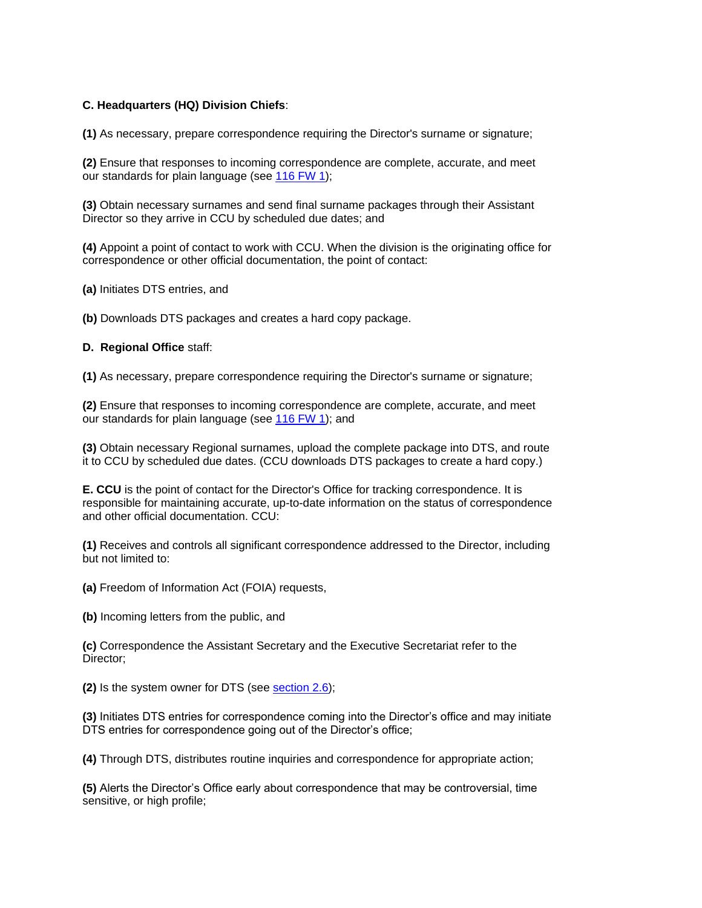# **C. Headquarters (HQ) Division Chiefs**:

**(1)** As necessary, prepare correspondence requiring the Director's surname or signature;

**(2)** Ensure that responses to incoming correspondence are complete, accurate, and meet our standards for plain language (see [116 FW 1\)](http://www.fws.gov/policy/116fw1.html);

**(3)** Obtain necessary surnames and send final surname packages through their Assistant Director so they arrive in CCU by scheduled due dates; and

**(4)** Appoint a point of contact to work with CCU. When the division is the originating office for correspondence or other official documentation, the point of contact:

**(a)** Initiates DTS entries, and

**(b)** Downloads DTS packages and creates a hard copy package.

#### **D. Regional Office** staff:

**(1)** As necessary, prepare correspondence requiring the Director's surname or signature;

**(2)** Ensure that responses to incoming correspondence are complete, accurate, and meet our standards for plain language (see [116 FW 1\)](http://www.fws.gov/policy/116fw1.html); and

**(3)** Obtain necessary Regional surnames, upload the complete package into DTS, and route it to CCU by scheduled due dates. (CCU downloads DTS packages to create a hard copy.)

**E. CCU** is the point of contact for the Director's Office for tracking correspondence. It is responsible for maintaining accurate, up-to-date information on the status of correspondence and other official documentation. CCU:

**(1)** Receives and controls all significant correspondence addressed to the Director, including but not limited to:

**(a)** Freedom of Information Act (FOIA) requests,

**(b)** Incoming letters from the public, and

**(c)** Correspondence the Assistant Secretary and the Executive Secretariat refer to the Director;

**(2)** Is the system owner for DTS (see [section 2.6\)](http://www.fws.gov/policy/282fw2.html#section26);

**(3)** Initiates DTS entries for correspondence coming into the Director's office and may initiate DTS entries for correspondence going out of the Director's office;

**(4)** Through DTS, distributes routine inquiries and correspondence for appropriate action;

**(5)** Alerts the Director's Office early about correspondence that may be controversial, time sensitive, or high profile;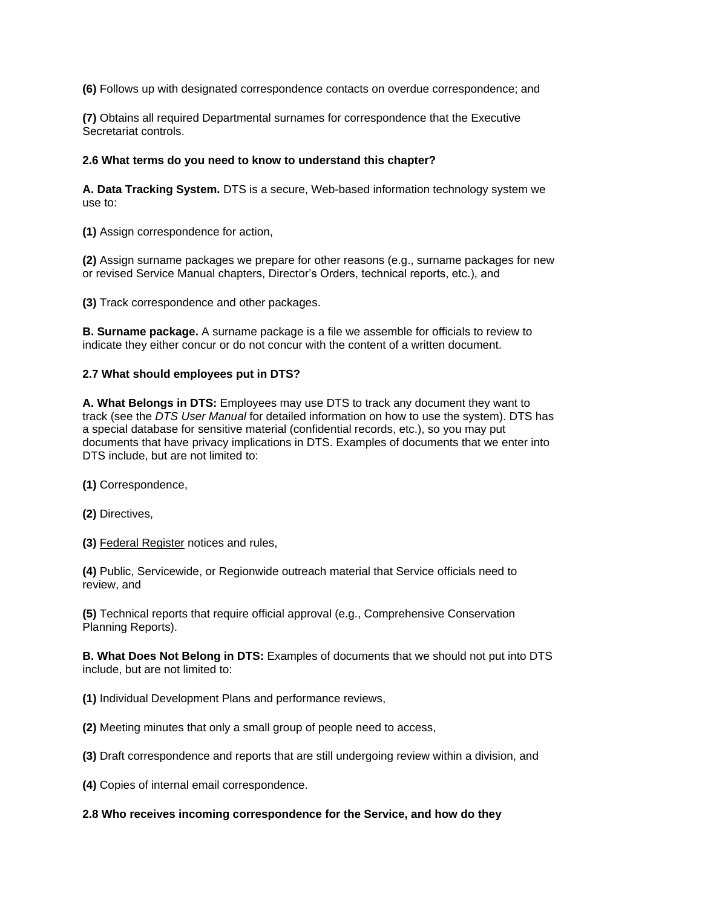**(6)** Follows up with designated correspondence contacts on overdue correspondence; and

**(7)** Obtains all required Departmental surnames for correspondence that the Executive Secretariat controls.

## **2.6 What terms do you need to know to understand this chapter?**

**A. Data Tracking System.** DTS is a secure, Web-based information technology system we use to:

**(1)** Assign correspondence for action,

**(2)** Assign surname packages we prepare for other reasons (e.g., surname packages for new or revised Service Manual chapters, Director's Orders, technical reports, etc.), and

**(3)** Track correspondence and other packages.

**B. Surname package.** A surname package is a file we assemble for officials to review to indicate they either concur or do not concur with the content of a written document.

# **2.7 What should employees put in DTS?**

**A. What Belongs in DTS:** Employees may use DTS to track any document they want to track (see the *DTS User Manual* for detailed information on how to use the system). DTS has a special database for sensitive material (confidential records, etc.), so you may put documents that have privacy implications in DTS. Examples of documents that we enter into DTS include, but are not limited to:

**(1)** Correspondence,

**(2)** Directives,

**(3)** Federal Register notices and rules,

**(4)** Public, Servicewide, or Regionwide outreach material that Service officials need to review, and

**(5)** Technical reports that require official approval (e.g., Comprehensive Conservation Planning Reports).

**B. What Does Not Belong in DTS:** Examples of documents that we should not put into DTS include, but are not limited to:

**(1)** Individual Development Plans and performance reviews,

**(2)** Meeting minutes that only a small group of people need to access,

**(3)** Draft correspondence and reports that are still undergoing review within a division, and

**(4)** Copies of internal email correspondence.

## **2.8 Who receives incoming correspondence for the Service, and how do they**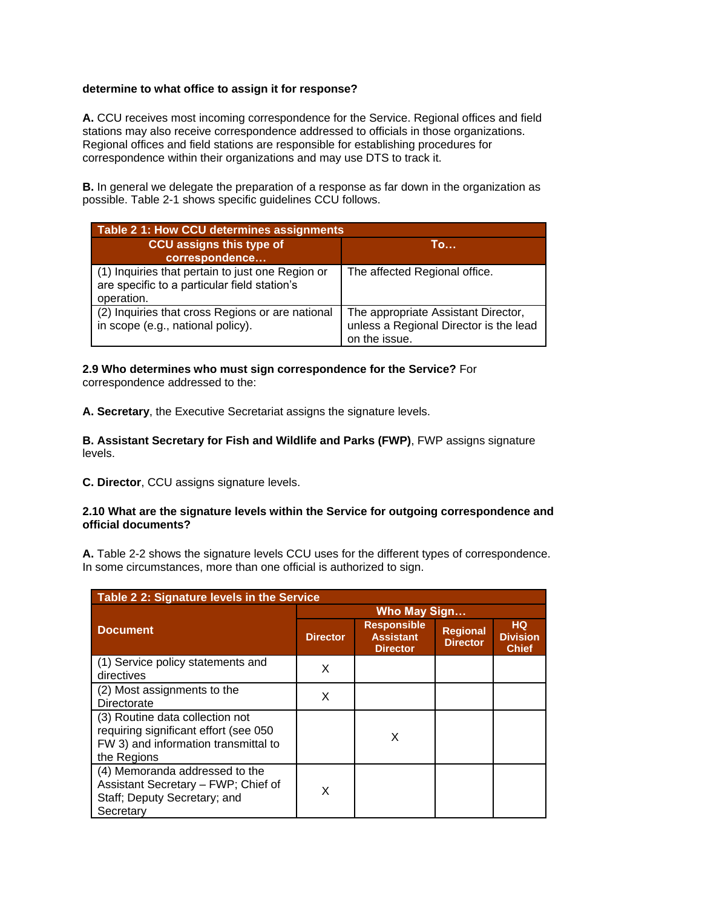# **determine to what office to assign it for response?**

**A.** CCU receives most incoming correspondence for the Service. Regional offices and field stations may also receive correspondence addressed to officials in those organizations. Regional offices and field stations are responsible for establishing procedures for correspondence within their organizations and may use DTS to track it.

**B.** In general we delegate the preparation of a response as far down in the organization as possible. Table 2-1 shows specific guidelines CCU follows.

| Table 2 1: How CCU determines assignments                                                                      |                                                                                                |  |  |
|----------------------------------------------------------------------------------------------------------------|------------------------------------------------------------------------------------------------|--|--|
| CCU assigns this type of<br>correspondence                                                                     | To                                                                                             |  |  |
| (1) Inquiries that pertain to just one Region or<br>are specific to a particular field station's<br>operation. | The affected Regional office.                                                                  |  |  |
| (2) Inquiries that cross Regions or are national<br>in scope (e.g., national policy).                          | The appropriate Assistant Director,<br>unless a Regional Director is the lead<br>on the issue. |  |  |

#### **2.9 Who determines who must sign correspondence for the Service?** For correspondence addressed to the:

**A. Secretary**, the Executive Secretariat assigns the signature levels.

**B. Assistant Secretary for Fish and Wildlife and Parks (FWP)**, FWP assigns signature levels.

**C. Director**, CCU assigns signature levels.

#### **2.10 What are the signature levels within the Service for outgoing correspondence and official documents?**

**A.** Table 2-2 shows the signature levels CCU uses for the different types of correspondence. In some circumstances, more than one official is authorized to sign.

| Table 2 2: Signature levels in the Service                                                                                      |                 |                                                           |                                    |                                              |
|---------------------------------------------------------------------------------------------------------------------------------|-----------------|-----------------------------------------------------------|------------------------------------|----------------------------------------------|
|                                                                                                                                 |                 | <b>Who May Sign</b>                                       |                                    |                                              |
| <b>Document</b>                                                                                                                 | <b>Director</b> | <b>Responsible</b><br><b>Assistant</b><br><b>Director</b> | <b>Regional</b><br><b>Director</b> | <b>HQ</b><br><b>Division</b><br><b>Chief</b> |
| (1) Service policy statements and<br>directives                                                                                 | X               |                                                           |                                    |                                              |
| (2) Most assignments to the<br>Directorate                                                                                      | X               |                                                           |                                    |                                              |
| (3) Routine data collection not<br>requiring significant effort (see 050<br>FW 3) and information transmittal to<br>the Regions |                 | X                                                         |                                    |                                              |
| (4) Memoranda addressed to the<br>Assistant Secretary - FWP; Chief of<br>Staff; Deputy Secretary; and<br>Secretary              | X               |                                                           |                                    |                                              |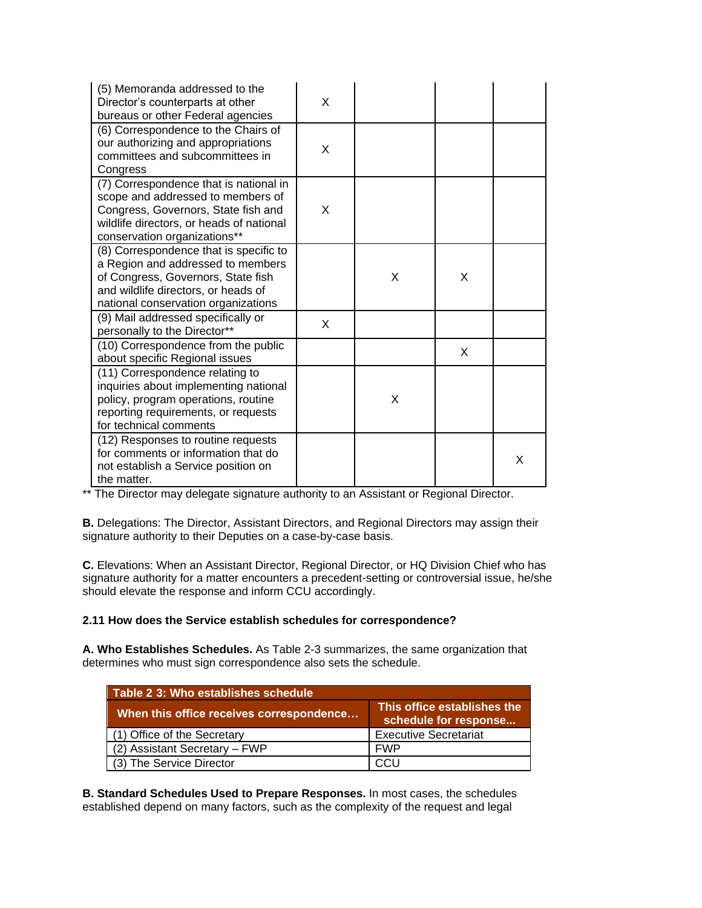| (5) Memoranda addressed to the<br>Director's counterparts at other<br>bureaus or other Federal agencies                                                                                         | X |   |   |   |
|-------------------------------------------------------------------------------------------------------------------------------------------------------------------------------------------------|---|---|---|---|
| (6) Correspondence to the Chairs of<br>our authorizing and appropriations<br>committees and subcommittees in<br>Congress                                                                        | X |   |   |   |
| (7) Correspondence that is national in<br>scope and addressed to members of<br>Congress, Governors, State fish and<br>wildlife directors, or heads of national<br>conservation organizations**  | X |   |   |   |
| (8) Correspondence that is specific to<br>a Region and addressed to members<br>of Congress, Governors, State fish<br>and wildlife directors, or heads of<br>national conservation organizations |   | X | X |   |
| (9) Mail addressed specifically or<br>personally to the Director**                                                                                                                              | X |   |   |   |
| (10) Correspondence from the public<br>about specific Regional issues                                                                                                                           |   |   | X |   |
| (11) Correspondence relating to<br>inquiries about implementing national<br>policy, program operations, routine<br>reporting requirements, or requests<br>for technical comments                |   | X |   |   |
| (12) Responses to routine requests<br>for comments or information that do<br>not establish a Service position on<br>the matter.                                                                 |   |   |   | X |

\*\* The Director may delegate signature authority to an Assistant or Regional Director.

**B.** Delegations: The Director, Assistant Directors, and Regional Directors may assign their signature authority to their Deputies on a case-by-case basis.

**C.** Elevations: When an Assistant Director, Regional Director, or HQ Division Chief who has signature authority for a matter encounters a precedent-setting or controversial issue, he/she should elevate the response and inform CCU accordingly.

## **2.11 How does the Service establish schedules for correspondence?**

**A. Who Establishes Schedules.** As Table 2-3 summarizes, the same organization that determines who must sign correspondence also sets the schedule.

| Table 2 3: Who establishes schedule      |                                                      |  |  |
|------------------------------------------|------------------------------------------------------|--|--|
| When this office receives correspondence | This office establishes the<br>schedule for response |  |  |
| (1) Office of the Secretary              | <b>Executive Secretariat</b>                         |  |  |
| (2) Assistant Secretary - FWP            | <b>FWP</b>                                           |  |  |
| (3) The Service Director                 |                                                      |  |  |

**B. Standard Schedules Used to Prepare Responses.** In most cases, the schedules established depend on many factors, such as the complexity of the request and legal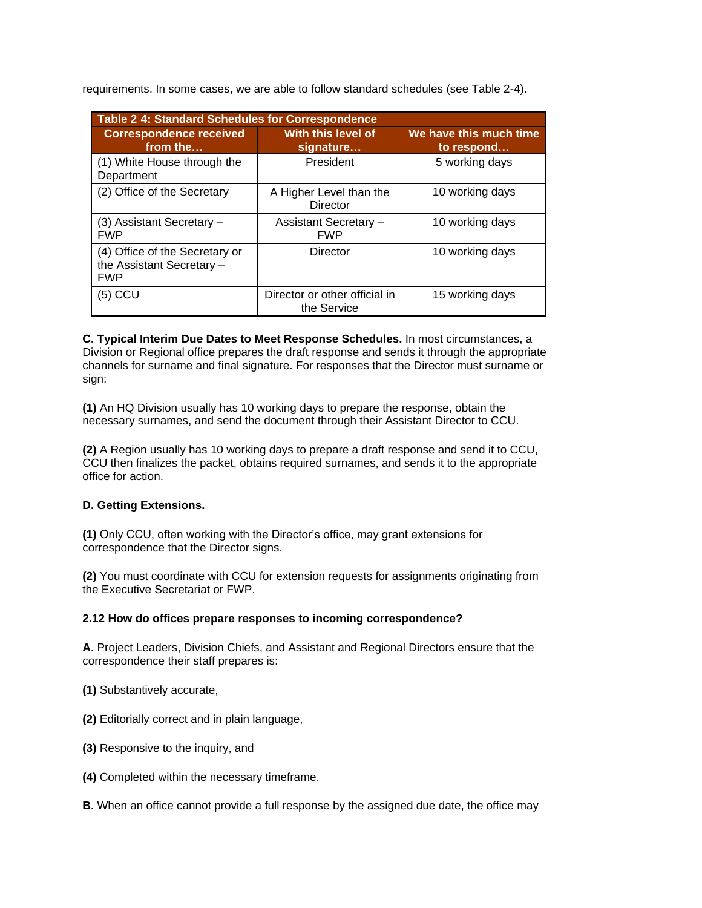requirements. In some cases, we are able to follow standard schedules (see Table 2-4).

| <b>Table 2 4: Standard Schedules for Correspondence</b>                   |                                              |                                      |  |  |
|---------------------------------------------------------------------------|----------------------------------------------|--------------------------------------|--|--|
| <b>Correspondence received</b><br>from the                                | With this level of<br>signature              | We have this much time<br>to respond |  |  |
| (1) White House through the<br>Department                                 | President                                    | 5 working days                       |  |  |
| (2) Office of the Secretary                                               | A Higher Level than the<br><b>Director</b>   | 10 working days                      |  |  |
| $(3)$ Assistant Secretary $-$<br><b>FWP</b>                               | <b>Assistant Secretary -</b><br><b>FWP</b>   | 10 working days                      |  |  |
| (4) Office of the Secretary or<br>the Assistant Secretary -<br><b>FWP</b> | Director                                     | 10 working days                      |  |  |
| $(5)$ CCU                                                                 | Director or other official in<br>the Service | 15 working days                      |  |  |

**C. Typical Interim Due Dates to Meet Response Schedules.** In most circumstances, a Division or Regional office prepares the draft response and sends it through the appropriate channels for surname and final signature. For responses that the Director must surname or sign:

**(1)** An HQ Division usually has 10 working days to prepare the response, obtain the necessary surnames, and send the document through their Assistant Director to CCU.

**(2)** A Region usually has 10 working days to prepare a draft response and send it to CCU, CCU then finalizes the packet, obtains required surnames, and sends it to the appropriate office for action.

# **D. Getting Extensions.**

**(1)** Only CCU, often working with the Director's office, may grant extensions for correspondence that the Director signs.

**(2)** You must coordinate with CCU for extension requests for assignments originating from the Executive Secretariat or FWP.

## **2.12 How do offices prepare responses to incoming correspondence?**

**A.** Project Leaders, Division Chiefs, and Assistant and Regional Directors ensure that the correspondence their staff prepares is:

- **(1)** Substantively accurate,
- **(2)** Editorially correct and in plain language,
- **(3)** Responsive to the inquiry, and
- **(4)** Completed within the necessary timeframe.
- **B.** When an office cannot provide a full response by the assigned due date, the office may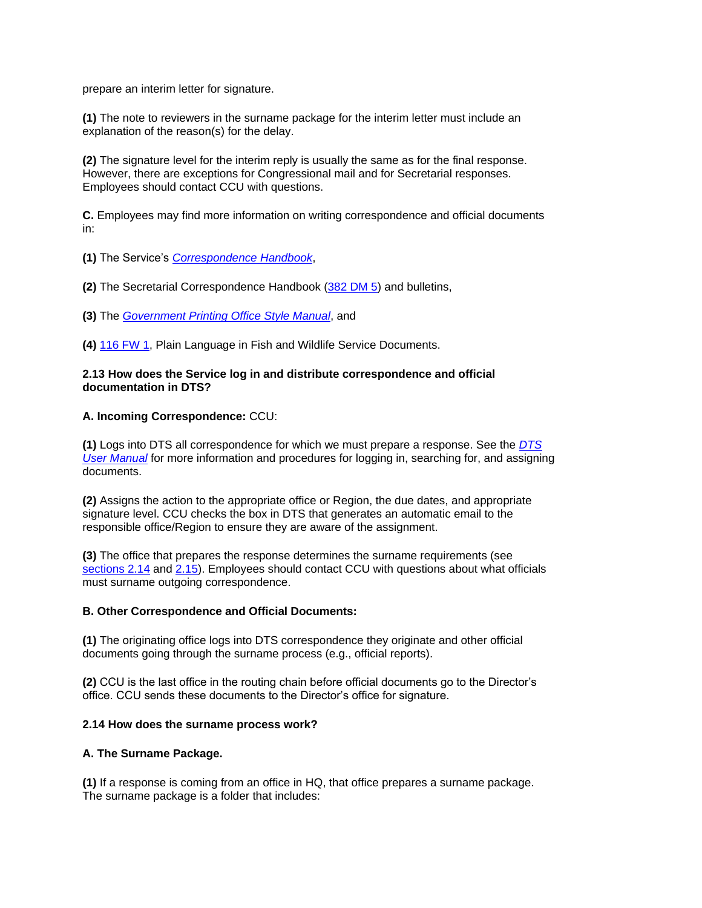prepare an interim letter for signature.

**(1)** The note to reviewers in the surname package for the interim letter must include an explanation of the reason(s) for the delay.

**(2)** The signature level for the interim reply is usually the same as for the final response. However, there are exceptions for Congressional mail and for Secretarial responses. Employees should contact CCU with questions.

**C.** Employees may find more information on writing correspondence and official documents in:

**(1)** The Service's *[Correspondence Handbook](http://www.fws.gov/policy/hbindex.cfm)*,

**(2)** The Secretarial Correspondence Handbook [\(382 DM 5\)](http://www.fws.gov/scripts/exit-to-fed.cfm?link=http://elips.doi.gov/app_dm/index.cfm?fuseaction=home&linkname=Departmental%20Manual) and bulletins,

**(3)** The *[Government Printing Office Style Manual](http://www.fws.gov/scripts/exit-to-fed.cfm?link=%20http://www.gpoaccess.gov/stylemanual/browse.html&linkname=GPO%20Style%20Manual)*, and

**(4)** [116 FW 1,](http://www.fws.gov/policy/116fw1.html) Plain Language in Fish and Wildlife Service Documents.

## **2.13 How does the Service log in and distribute correspondence and official documentation in DTS?**

# **A. Incoming Correspondence:** CCU:

**(1)** Logs into DTS all correspondence for which we must prepare a response. See the *[DTS](http://www.fws.gov/policy/hbindex.cfm)  [User Manual](http://www.fws.gov/policy/hbindex.cfm)* for more information and procedures for logging in, searching for, and assigning documents.

**(2)** Assigns the action to the appropriate office or Region, the due dates, and appropriate signature level. CCU checks the box in DTS that generates an automatic email to the responsible office/Region to ensure they are aware of the assignment.

**(3)** The office that prepares the response determines the surname requirements (see [sections 2.14](http://www.fws.gov/policy/282fw2.html#section214) and [2.15\)](http://www.fws.gov/policy/282fw2.html#section215). Employees should contact CCU with questions about what officials must surname outgoing correspondence.

## **B. Other Correspondence and Official Documents:**

**(1)** The originating office logs into DTS correspondence they originate and other official documents going through the surname process (e.g., official reports).

**(2)** CCU is the last office in the routing chain before official documents go to the Director's office. CCU sends these documents to the Director's office for signature.

## **2.14 How does the surname process work?**

## **A. The Surname Package.**

**(1)** If a response is coming from an office in HQ, that office prepares a surname package. The surname package is a folder that includes: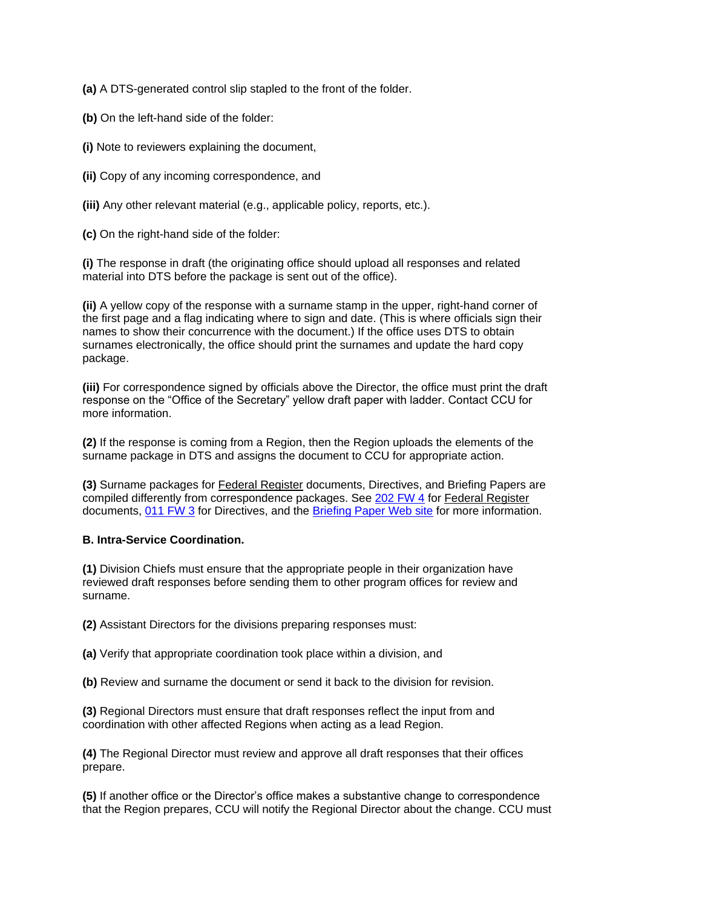**(a)** A DTS-generated control slip stapled to the front of the folder.

**(b)** On the left-hand side of the folder:

**(i)** Note to reviewers explaining the document,

**(ii)** Copy of any incoming correspondence, and

**(iii)** Any other relevant material (e.g., applicable policy, reports, etc.).

**(c)** On the right-hand side of the folder:

**(i)** The response in draft (the originating office should upload all responses and related material into DTS before the package is sent out of the office).

**(ii)** A yellow copy of the response with a surname stamp in the upper, right-hand corner of the first page and a flag indicating where to sign and date. (This is where officials sign their names to show their concurrence with the document.) If the office uses DTS to obtain surnames electronically, the office should print the surnames and update the hard copy package.

**(iii)** For correspondence signed by officials above the Director, the office must print the draft response on the "Office of the Secretary" yellow draft paper with ladder. Contact CCU for more information.

**(2)** If the response is coming from a Region, then the Region uploads the elements of the surname package in DTS and assigns the document to CCU for appropriate action.

**(3)** Surname packages for Federal Register documents, Directives, and Briefing Papers are compiled differently from correspondence packages. See [202 FW 4](http://www.fws.gov/policy/202fw4.html) for Federal Register documents, [011 FW 3](http://www.fws.gov/policy/011fw3.html) for Directives, and the [Briefing Paper Web site](https://intranet.fws.gov/briefingpapers) for more information.

## **B. Intra-Service Coordination.**

**(1)** Division Chiefs must ensure that the appropriate people in their organization have reviewed draft responses before sending them to other program offices for review and surname.

**(2)** Assistant Directors for the divisions preparing responses must:

**(a)** Verify that appropriate coordination took place within a division, and

**(b)** Review and surname the document or send it back to the division for revision.

**(3)** Regional Directors must ensure that draft responses reflect the input from and coordination with other affected Regions when acting as a lead Region.

**(4)** The Regional Director must review and approve all draft responses that their offices prepare.

**(5)** If another office or the Director's office makes a substantive change to correspondence that the Region prepares, CCU will notify the Regional Director about the change. CCU must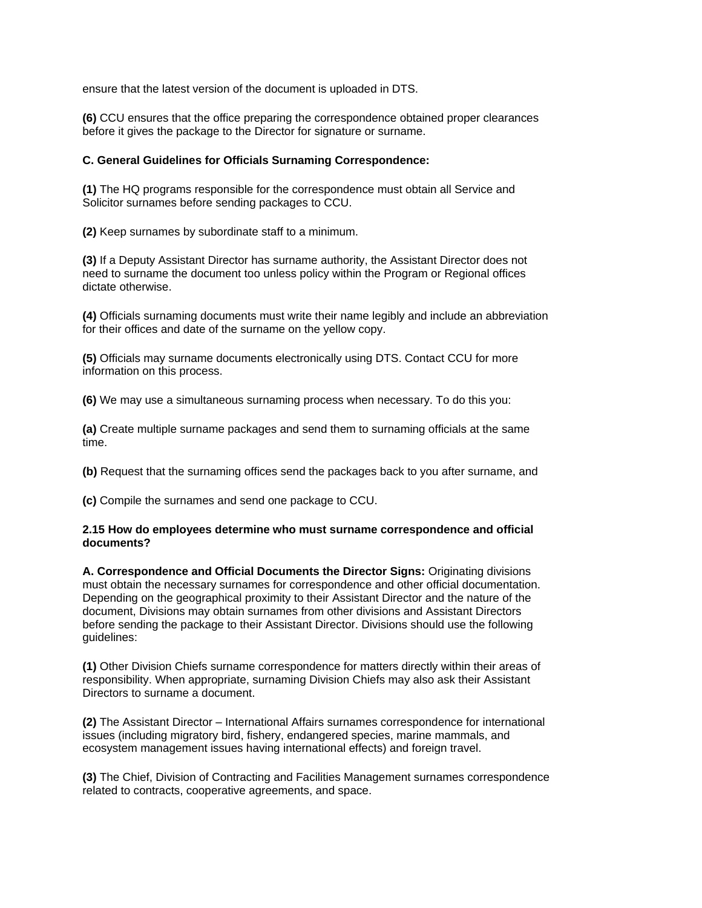ensure that the latest version of the document is uploaded in DTS.

**(6)** CCU ensures that the office preparing the correspondence obtained proper clearances before it gives the package to the Director for signature or surname.

#### **C. General Guidelines for Officials Surnaming Correspondence:**

**(1)** The HQ programs responsible for the correspondence must obtain all Service and Solicitor surnames before sending packages to CCU.

**(2)** Keep surnames by subordinate staff to a minimum.

**(3)** If a Deputy Assistant Director has surname authority, the Assistant Director does not need to surname the document too unless policy within the Program or Regional offices dictate otherwise.

 for their offices and date of the surname on the yellow copy. **(4)** Officials surnaming documents must write their name legibly and include an abbreviation

**(5)** Officials may surname documents electronically using DTS. Contact CCU for more information on this process.

**(6)** We may use a simultaneous surnaming process when necessary. To do this you:

**(a)** Create multiple surname packages and send them to surnaming officials at the same time.

**(b)** Request that the surnaming offices send the packages back to you after surname, and

**(c)** Compile the surnames and send one package to CCU.

#### **2.15 How do employees determine who must surname correspondence and official documents?**

**A. Correspondence and Official Documents the Director Signs:** Originating divisions must obtain the necessary surnames for correspondence and other official documentation. Depending on the geographical proximity to their Assistant Director and the nature of the document, Divisions may obtain surnames from other divisions and Assistant Directors before sending the package to their Assistant Director. Divisions should use the following guidelines:

**(1)** Other Division Chiefs surname correspondence for matters directly within their areas of responsibility. When appropriate, surnaming Division Chiefs may also ask their Assistant Directors to surname a document.

**(2)** The Assistant Director – International Affairs surnames correspondence for international issues (including migratory bird, fishery, endangered species, marine mammals, and ecosystem management issues having international effects) and foreign travel.

**(3)** The Chief, Division of Contracting and Facilities Management surnames correspondence related to contracts, cooperative agreements, and space.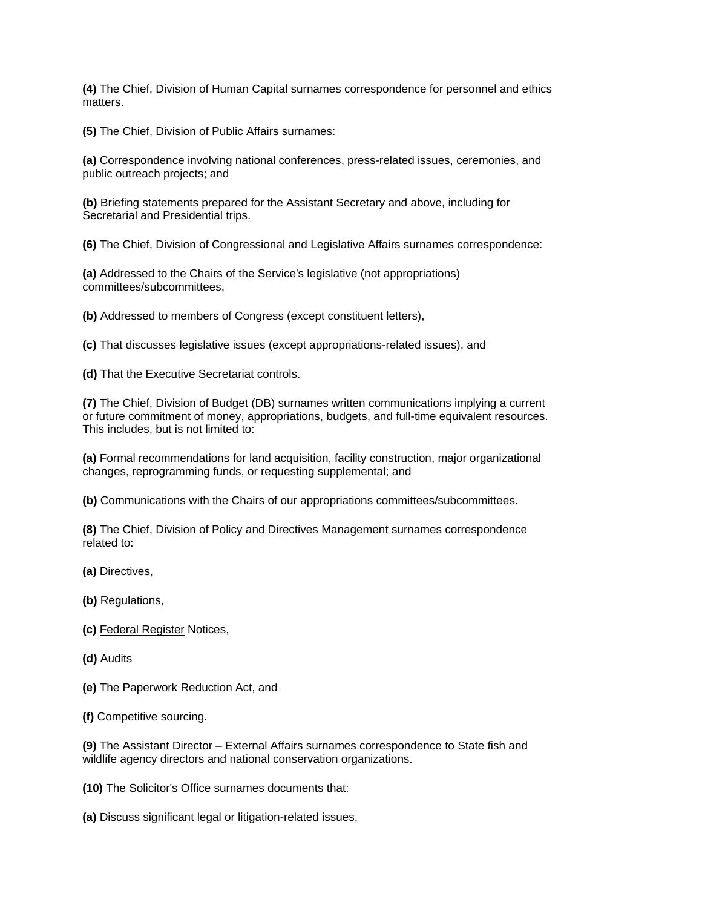**(4)** The Chief, Division of Human Capital surnames correspondence for personnel and ethics matters.

**(5)** The Chief, Division of Public Affairs surnames:

**(a)** Correspondence involving national conferences, press-related issues, ceremonies, and public outreach projects; and

**(b)** Briefing statements prepared for the Assistant Secretary and above, including for Secretarial and Presidential trips.

**(6)** The Chief, Division of Congressional and Legislative Affairs surnames correspondence:

**(a)** Addressed to the Chairs of the Service's legislative (not appropriations) committees/subcommittees,

**(b)** Addressed to members of Congress (except constituent letters),

**(c)** That discusses legislative issues (except appropriations-related issues), and

**(d)** That the Executive Secretariat controls.

**(7)** The Chief, Division of Budget (DB) surnames written communications implying a current or future commitment of money, appropriations, budgets, and full-time equivalent resources. This includes, but is not limited to:

**(a)** Formal recommendations for land acquisition, facility construction, major organizational changes, reprogramming funds, or requesting supplemental; and

**(b)** Communications with the Chairs of our appropriations committees/subcommittees.

**(8)** The Chief, Division of Policy and Directives Management surnames correspondence related to:

**(a)** Directives,

**(b)** Regulations,

- **(c)** Federal Register Notices,
- **(d)** Audits
- **(e)** The Paperwork Reduction Act, and
- **(f)** Competitive sourcing.

**(9)** The Assistant Director – External Affairs surnames correspondence to State fish and wildlife agency directors and national conservation organizations.

**(10)** The Solicitor's Office surnames documents that:

**(a)** Discuss significant legal or litigation-related issues,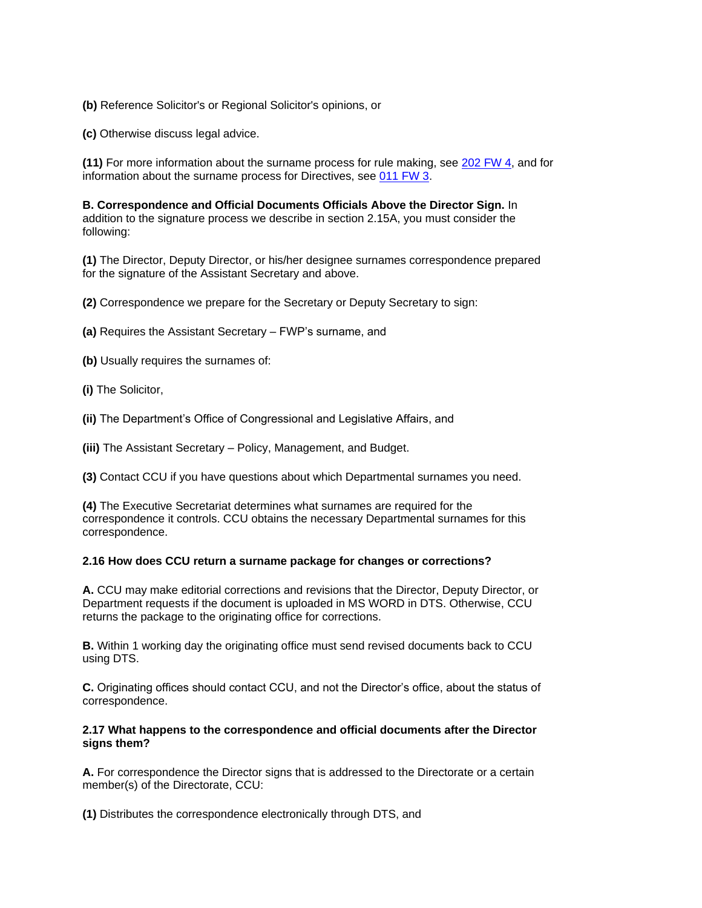**(b)** Reference Solicitor's or Regional Solicitor's opinions, or

**(c)** Otherwise discuss legal advice.

**(11)** For more information about the surname process for rule making, see [202 FW 4,](http://www.fws.gov/policy/202fw4.html) and for information about the surname process for Directives, see [011 FW 3.](http://www.fws.gov/policy/011fw3.html)

**B. Correspondence and Official Documents Officials Above the Director Sign.** In addition to the signature process we describe in section 2.15A, you must consider the following:

**(1)** The Director, Deputy Director, or his/her designee surnames correspondence prepared for the signature of the Assistant Secretary and above.

**(2)** Correspondence we prepare for the Secretary or Deputy Secretary to sign:

**(a)** Requires the Assistant Secretary – FWP's surname, and

**(b)** Usually requires the surnames of:

**(i)** The Solicitor,

**(ii)** The Department's Office of Congressional and Legislative Affairs, and

**(iii)** The Assistant Secretary – Policy, Management, and Budget.

**(3)** Contact CCU if you have questions about which Departmental surnames you need.

**(4)** The Executive Secretariat determines what surnames are required for the correspondence it controls. CCU obtains the necessary Departmental surnames for this correspondence.

## **2.16 How does CCU return a surname package for changes or corrections?**

**A.** CCU may make editorial corrections and revisions that the Director, Deputy Director, or Department requests if the document is uploaded in MS WORD in DTS. Otherwise, CCU returns the package to the originating office for corrections.

**B.** Within 1 working day the originating office must send revised documents back to CCU using DTS.

**C.** Originating offices should contact CCU, and not the Director's office, about the status of correspondence.

#### **2.17 What happens to the correspondence and official documents after the Director signs them?**

**A.** For correspondence the Director signs that is addressed to the Directorate or a certain member(s) of the Directorate, CCU:

**(1)** Distributes the correspondence electronically through DTS, and